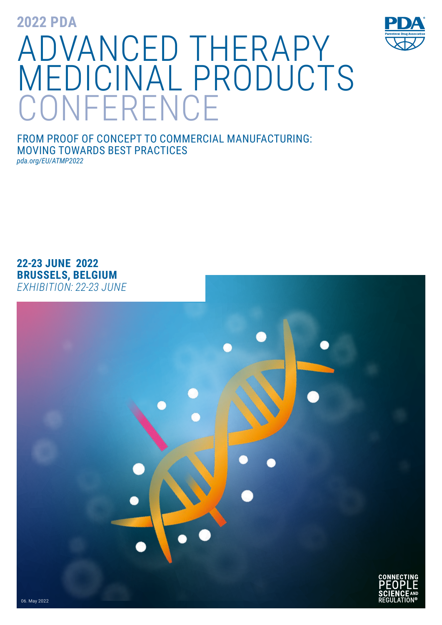**2022 PDA**



FROM PROOF OF CONCEPT TO COMMERCIAL MANUFACTURING: MOVING TOWARDS BEST PRACTICES *pda.org/EU/ATMP2022*

**22-23 JUNE 2022 BRUSSELS, BELGIUM** *EXHIBITION: 22-23 JUNE* 

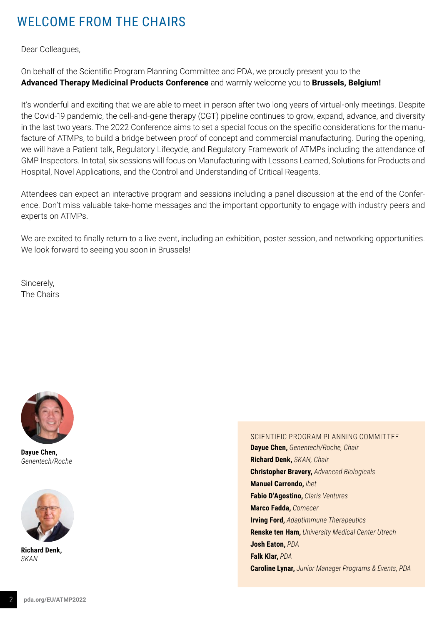# WELCOME FROM THE CHAIRS

Dear Colleagues,

On behalf of the Scientific Program Planning Committee and PDA, we proudly present you to the **Advanced Therapy Medicinal Products Conference** and warmly welcome you to **Brussels, Belgium!**

It's wonderful and exciting that we are able to meet in person after two long years of virtual-only meetings. Despite the Covid-19 pandemic, the cell-and-gene therapy (CGT) pipeline continues to grow, expand, advance, and diversity in the last two years. The 2022 Conference aims to set a special focus on the specific considerations for the manufacture of ATMPs, to build a bridge between proof of concept and commercial manufacturing. During the opening, we will have a Patient talk, Regulatory Lifecycle, and Regulatory Framework of ATMPs including the attendance of GMP Inspectors. In total, six sessions will focus on Manufacturing with Lessons Learned, Solutions for Products and Hospital, Novel Applications, and the Control and Understanding of Critical Reagents.

Attendees can expect an interactive program and sessions including a panel discussion at the end of the Conference. Don't miss valuable take-home messages and the important opportunity to engage with industry peers and experts on ATMPs.

We are excited to finally return to a live event, including an exhibition, poster session, and networking opportunities. We look forward to seeing you soon in Brussels!

Sincerely, The Chairs



**Dayue Chen,** *Genentech/Roche*



**Richard Denk,** *SKAN*

### SCIENTIFIC PROGRAM PLANNING COMMITTEE

**Dayue Chen,** *Genentech/Roche, Chair* **Richard Denk,** *SKAN, Chair*  **Christopher Bravery,** *Advanced Biologicals* **Manuel Carrondo,** *ibet*  **Fabio D'Agostino,** *Claris Ventures*  **Marco Fadda,** *Comecer* **Irving Ford,** *Adaptimmune Therapeutics* **Renske ten Ham,** *University Medical Center Utrech*  **Josh Eaton,** *PDA*  **Falk Klar,** *PDA* **Caroline Lynar,** *Junior Manager Programs & Events, PDA*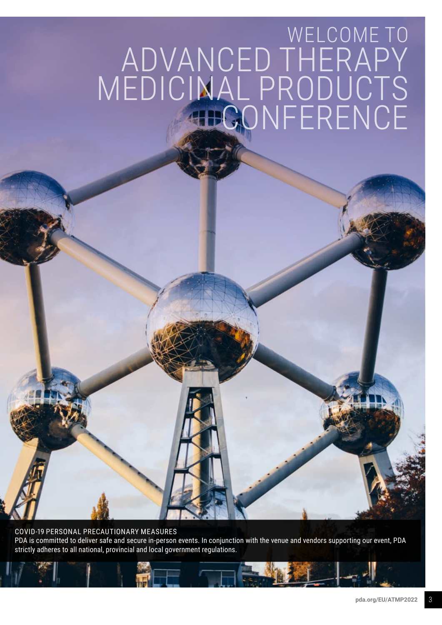# $H = -$ WELCOME TO ADVANCED THERAPY MEDICINAL PRODUCTS CONFERENCE

COVID-19 PERSONAL PRECAUTIONARY MEASURES PDA is committed to deliver safe and secure in-person events. In conjunction with the venue and vendors supporting our event, PDA strictly adheres to all national, provincial and local government regulations.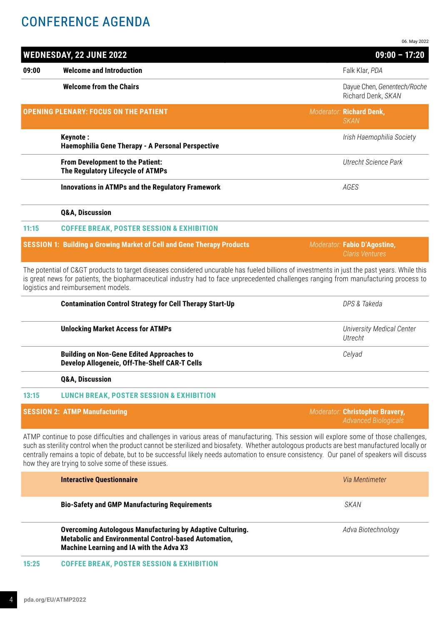## CONFERENCE AGENDA

|       |                                                                                                                                                                                                                                                                                                                                                                                                                                                                                              | 06. May 2022                                                   |
|-------|----------------------------------------------------------------------------------------------------------------------------------------------------------------------------------------------------------------------------------------------------------------------------------------------------------------------------------------------------------------------------------------------------------------------------------------------------------------------------------------------|----------------------------------------------------------------|
|       | <b>WEDNESDAY, 22 JUNE 2022</b>                                                                                                                                                                                                                                                                                                                                                                                                                                                               | $09:00 - 17:20$                                                |
| 09:00 | <b>Welcome and Introduction</b>                                                                                                                                                                                                                                                                                                                                                                                                                                                              | Falk Klar, PDA                                                 |
|       | <b>Welcome from the Chairs</b>                                                                                                                                                                                                                                                                                                                                                                                                                                                               | Dayue Chen, Genentech/Roche<br>Richard Denk, SKAN              |
|       | <b>OPENING PLENARY: FOCUS ON THE PATIENT</b>                                                                                                                                                                                                                                                                                                                                                                                                                                                 | Moderator: Richard Denk,<br><b>SKAN</b>                        |
|       | <b>Keynote:</b><br>Haemophilia Gene Therapy - A Personal Perspective                                                                                                                                                                                                                                                                                                                                                                                                                         | Irish Haemophilia Society                                      |
|       | From Development to the Patient:<br>The Regulatory Lifecycle of ATMPs                                                                                                                                                                                                                                                                                                                                                                                                                        | <b>Utrecht Science Park</b>                                    |
|       | <b>Innovations in ATMPs and the Regulatory Framework</b>                                                                                                                                                                                                                                                                                                                                                                                                                                     | AGES                                                           |
|       | <b>Q&amp;A, Discussion</b>                                                                                                                                                                                                                                                                                                                                                                                                                                                                   |                                                                |
| 11:15 | <b>COFFEE BREAK, POSTER SESSION &amp; EXHIBITION</b>                                                                                                                                                                                                                                                                                                                                                                                                                                         |                                                                |
|       | <b>SESSION 1: Building a Growing Market of Cell and Gene Therapy Products</b>                                                                                                                                                                                                                                                                                                                                                                                                                | Moderator: Fabio D'Agostino,<br><b>Claris Ventures</b>         |
|       | The potential of C> products to target diseases considered uncurable has fueled billions of investments in just the past years. While this<br>is great news for patients, the biopharmaceutical industry had to face unprecedented challenges ranging from manufacturing process to<br>logistics and reimbursement models.                                                                                                                                                                   |                                                                |
|       | <b>Contamination Control Strategy for Cell Therapy Start-Up</b>                                                                                                                                                                                                                                                                                                                                                                                                                              | DPS & Takeda                                                   |
|       | <b>Unlocking Market Access for ATMPs</b>                                                                                                                                                                                                                                                                                                                                                                                                                                                     | <b>University Medical Center</b><br>Utrecht                    |
|       | <b>Building on Non-Gene Edited Approaches to</b><br>Develop Allogeneic, Off-The-Shelf CAR-T Cells                                                                                                                                                                                                                                                                                                                                                                                            | Celyad                                                         |
|       | <b>Q&amp;A, Discussion</b>                                                                                                                                                                                                                                                                                                                                                                                                                                                                   |                                                                |
| 13:15 | <b>LUNCH BREAK, POSTER SESSION &amp; EXHIBITION</b>                                                                                                                                                                                                                                                                                                                                                                                                                                          |                                                                |
|       | <b>SESSION 2: ATMP Manufacturing</b>                                                                                                                                                                                                                                                                                                                                                                                                                                                         | Moderator: Christopher Bravery,<br><b>Advanced Biologicals</b> |
|       | ATMP continue to pose difficulties and challenges in various areas of manufacturing. This session will explore some of those challenges,<br>such as sterility control when the product cannot be sterilized and biosafety. Whether autologous products are best manufactured locally or<br>centrally remains a topic of debate, but to be successful likely needs automation to ensure consistency. Our panel of speakers will discuss<br>how they are trying to solve some of these issues. |                                                                |
|       | <b>Interactive Questionnaire</b>                                                                                                                                                                                                                                                                                                                                                                                                                                                             | Via Mentimeter                                                 |
|       | <b>Bio-Safety and GMP Manufacturing Requirements</b>                                                                                                                                                                                                                                                                                                                                                                                                                                         | <b>SKAN</b>                                                    |
|       | <b>Overcoming Autologous Manufacturing by Adaptive Culturing.</b>                                                                                                                                                                                                                                                                                                                                                                                                                            | Adva Biotechnology                                             |

**Machine Learning and IA with the Adva X3**

**Metabolic and Environmental Control-based Automation,**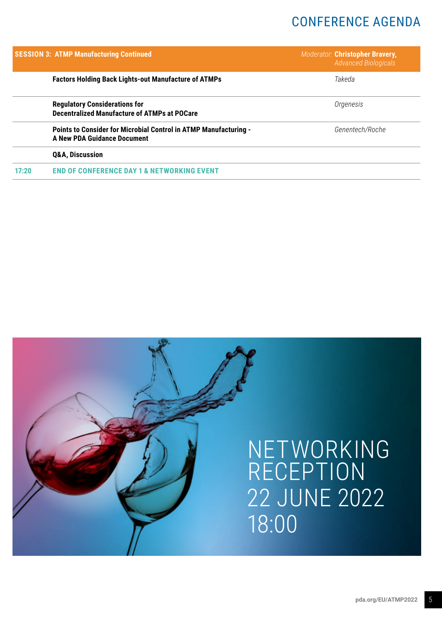## CONFERENCE AGENDA

|       | <b>SESSION 3: ATMP Manufacturing Continued</b>                                                         | Moderator: Christopher Bravery,<br><b>Advanced Biologicals</b> |
|-------|--------------------------------------------------------------------------------------------------------|----------------------------------------------------------------|
|       | <b>Factors Holding Back Lights-out Manufacture of ATMPs</b>                                            | Takeda                                                         |
|       | <b>Regulatory Considerations for</b><br><b>Decentralized Manufacture of ATMPs at POCare</b>            | Orgenesis                                                      |
|       | Points to Consider for Microbial Control in ATMP Manufacturing -<br><b>A New PDA Guidance Document</b> | Genentech/Roche                                                |
|       | <b>Q&amp;A, Discussion</b>                                                                             |                                                                |
| 17:20 | <b>END OF CONFERENCE DAY 1 &amp; NETWORKING EVENT</b>                                                  |                                                                |

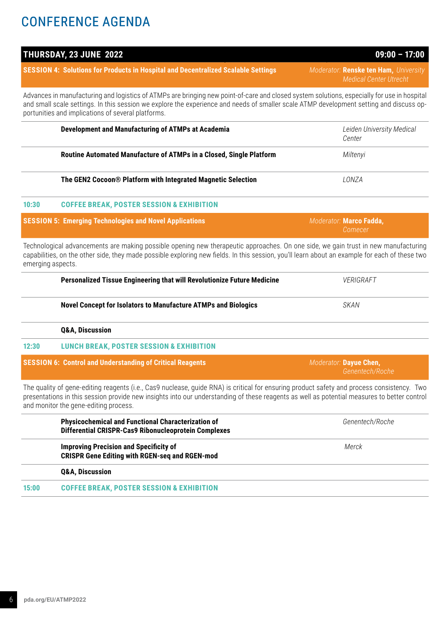# CONFERENCE AGENDA

|                   |                                                                                                                                                                                                                                                                                                                                              | Medical Center Utrecht                    |
|-------------------|----------------------------------------------------------------------------------------------------------------------------------------------------------------------------------------------------------------------------------------------------------------------------------------------------------------------------------------------|-------------------------------------------|
|                   | Advances in manufacturing and logistics of ATMPs are bringing new point-of-care and closed system solutions, especially for use in hospital<br>and small scale settings. In this session we explore the experience and needs of smaller scale ATMP development setting and discuss op-<br>portunities and implications of several platforms. |                                           |
|                   | Development and Manufacturing of ATMPs at Academia                                                                                                                                                                                                                                                                                           | Leiden University Medical<br>Center       |
|                   | Routine Automated Manufacture of ATMPs in a Closed, Single Platform                                                                                                                                                                                                                                                                          | Miltenyi                                  |
|                   | The GEN2 Cocoon® Platform with Integrated Magnetic Selection                                                                                                                                                                                                                                                                                 | LONZA                                     |
| 10:30             | <b>COFFEE BREAK, POSTER SESSION &amp; EXHIBITION</b>                                                                                                                                                                                                                                                                                         |                                           |
|                   | <b>SESSION 5: Emerging Technologies and Novel Applications</b>                                                                                                                                                                                                                                                                               | Moderator: Marco Fadda,<br>Comecer        |
| emerging aspects. | Technological advancements are making possible opening new therapeutic approaches. On one side, we gain trust in new manufacturing<br>capabilities, on the other side, they made possible exploring new fields. In this session, you'll learn about an example for each of these two                                                         |                                           |
|                   | Personalized Tissue Engineering that will Revolutionize Future Medicine                                                                                                                                                                                                                                                                      | <b>VERIGRAFT</b>                          |
|                   | <b>Novel Concept for Isolators to Manufacture ATMPs and Biologics</b>                                                                                                                                                                                                                                                                        | <b>SKAN</b>                               |
|                   | <b>Q&amp;A, Discussion</b>                                                                                                                                                                                                                                                                                                                   |                                           |
| 12:30             | <b>LUNCH BREAK, POSTER SESSION &amp; EXHIBITION</b>                                                                                                                                                                                                                                                                                          |                                           |
|                   | <b>SESSION 6: Control and Understanding of Critical Reagents</b>                                                                                                                                                                                                                                                                             | Moderator: Dayue Chen,<br>Genentech/Roche |
|                   | The quality of gene-editing reagents (i.e., Cas9 nuclease, quide RNA) is critical for ensuring product safety and process consistency. Two<br>presentations in this session provide new insights into our understanding of these reagents as well as potential measures to better control<br>and monitor the gene-editing process.           |                                           |
|                   | <b>Physicochemical and Functional Characterization of</b><br><b>Differential CRISPR-Cas9 Ribonucleoprotein Complexes</b>                                                                                                                                                                                                                     | Genentech/Roche                           |
|                   | <b>Improving Precision and Specificity of</b><br><b>CRISPR Gene Editing with RGEN-seq and RGEN-mod</b>                                                                                                                                                                                                                                       | Merck                                     |
|                   | <b>Q&amp;A, Discussion</b>                                                                                                                                                                                                                                                                                                                   |                                           |
|                   |                                                                                                                                                                                                                                                                                                                                              |                                           |

**15:00 COFFEE BREAK, POSTER SESSION & EXHIBITION**

## **THURSDAY, 23 JUNE 2022 09:00 – 17:00**

**SESSION 4: Solutions for Products in Hospital and Decentralized Scalable Settings** *Moderator:* **Renske ten Ham,** *University Medical Center Utrecht*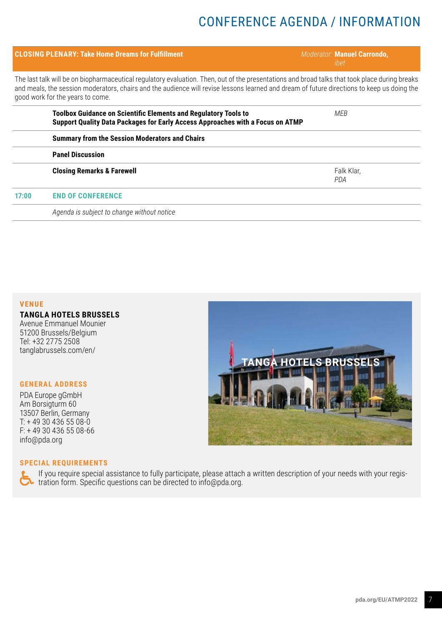# CONFERENCE AGENDA / INFORMATION

|                                                                                                                                                                                                                                                                                                                                  | <b>CLOSING PLENARY: Take Home Dreams for Fulfillment</b>                                                                                                 | Moderator: Manuel Carrondo,<br>ibet |  |
|----------------------------------------------------------------------------------------------------------------------------------------------------------------------------------------------------------------------------------------------------------------------------------------------------------------------------------|----------------------------------------------------------------------------------------------------------------------------------------------------------|-------------------------------------|--|
| The last talk will be on biopharmaceutical regulatory evaluation. Then, out of the presentations and broad talks that took place during breaks<br>and meals, the session moderators, chairs and the audience will revise lessons learned and dream of future directions to keep us doing the<br>good work for the years to come. |                                                                                                                                                          |                                     |  |
|                                                                                                                                                                                                                                                                                                                                  | <b>Toolbox Guidance on Scientific Elements and Regulatory Tools to</b><br>Support Quality Data Packages for Early Access Approaches with a Focus on ATMP | MFR.                                |  |
|                                                                                                                                                                                                                                                                                                                                  | <b>Summary from the Session Moderators and Chairs</b>                                                                                                    |                                     |  |
|                                                                                                                                                                                                                                                                                                                                  | <b>Panel Discussion</b>                                                                                                                                  |                                     |  |
|                                                                                                                                                                                                                                                                                                                                  | <b>Closing Remarks &amp; Farewell</b>                                                                                                                    | Falk Klar,<br><b>PDA</b>            |  |
| 17:00                                                                                                                                                                                                                                                                                                                            | <b>END OF CONFERENCE</b>                                                                                                                                 |                                     |  |
|                                                                                                                                                                                                                                                                                                                                  | Agenda is subject to change without notice                                                                                                               |                                     |  |

## **VENUE**

**TANGLA HOTELS BRUSSELS** Avenue Emmanuel Mounier 51200 Brussels/Belgium Tel: +32 2775 2508 tanglabrussels.com/en/

### **GENERAL ADDRESS**

PDA Europe gGmbH Am Borsigturm 60 13507 Berlin, Germany T: + 49 30 436 55 08-0 F: + 49 30 436 55 08-66 info@pda.org

#### **SPECIAL REQUIREMENTS**

If you require special assistance to fully participate, please attach a written description of your needs with your registration form. Specific questions can be directed to info@pda.org.